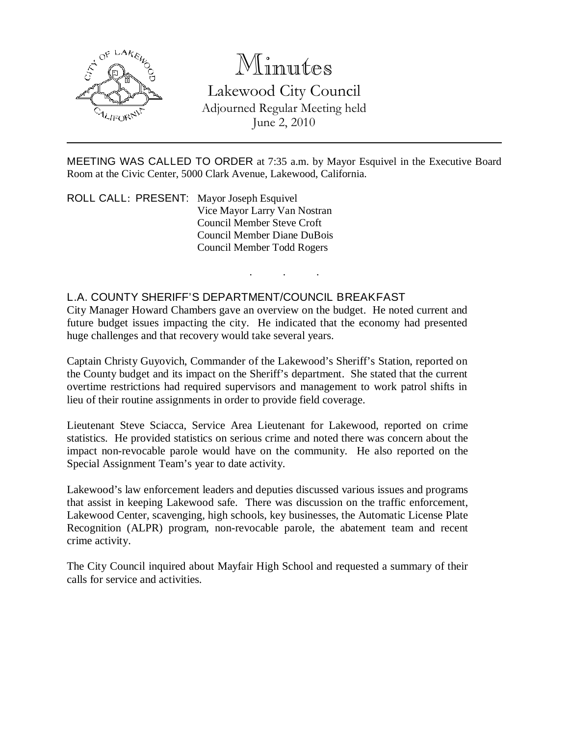

## Minutes

Lakewood City Council Adjourned Regular Meeting held June 2, 2010

MEETING WAS CALLED TO ORDER at 7:35 a.m. by Mayor Esquivel in the Executive Board Room at the Civic Center, 5000 Clark Avenue, Lakewood, California.

. . .

ROLL CALL: PRESENT: Mayor Joseph Esquivel Vice Mayor Larry Van Nostran Council Member Steve Croft Council Member Diane DuBois Council Member Todd Rogers

## L.A. COUNTY SHERIFF'S DEPARTMENT/COUNCIL BREAKFAST

City Manager Howard Chambers gave an overview on the budget. He noted current and future budget issues impacting the city. He indicated that the economy had presented huge challenges and that recovery would take several years.

Captain Christy Guyovich, Commander of the Lakewood's Sheriff's Station, reported on the County budget and its impact on the Sheriff's department. She stated that the current overtime restrictions had required supervisors and management to work patrol shifts in lieu of their routine assignments in order to provide field coverage.

Lieutenant Steve Sciacca, Service Area Lieutenant for Lakewood, reported on crime statistics. He provided statistics on serious crime and noted there was concern about the impact non-revocable parole would have on the community. He also reported on the Special Assignment Team's year to date activity.

Lakewood's law enforcement leaders and deputies discussed various issues and programs that assist in keeping Lakewood safe. There was discussion on the traffic enforcement, Lakewood Center, scavenging, high schools, key businesses, the Automatic License Plate Recognition (ALPR) program, non-revocable parole, the abatement team and recent crime activity.

The City Council inquired about Mayfair High School and requested a summary of their calls for service and activities.